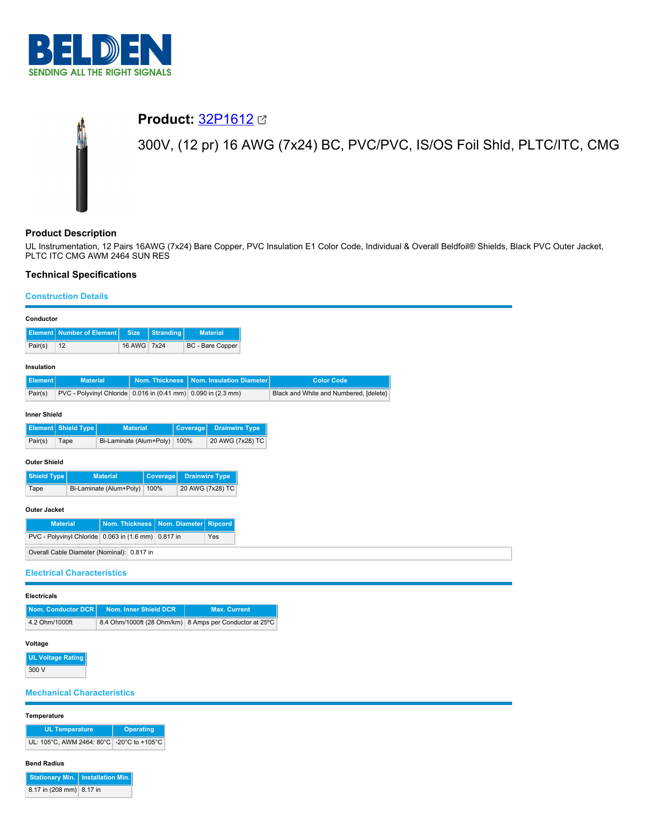

# **Product:** [32P1612](https://catalog.belden.com/index.cfm?event=pd&p=PF_32P1612&tab=downloads) 300V, (12 pr) 16 AWG (7x24) BC, PVC/PVC, IS/OS Foil Shld, PLTC/ITC, CMG

### **Product Description**

UL Instrumentation, 12 Pairs 16AWG (7x24) Bare Copper, PVC Insulation E1 Color Code, Individual & Overall Beldfoil® Shields, Black PVC Outer Jacket, PLTC ITC CMG AWM 2464 SUN RES

## **Technical Specifications**

## **Construction Details**

| Conductor                                                  |                                                               |                 |                       |                  |                  |                                                         |                                        |  |  |
|------------------------------------------------------------|---------------------------------------------------------------|-----------------|-----------------------|------------------|------------------|---------------------------------------------------------|----------------------------------------|--|--|
| <b>Element</b>                                             | <b>Number of Element</b>                                      |                 | <b>Size</b>           | <b>Stranding</b> |                  | <b>Material</b>                                         |                                        |  |  |
| Pair(s)                                                    | 12                                                            |                 | 16 AWG 7x24           |                  |                  | BC - Bare Copper                                        |                                        |  |  |
| Insulation                                                 |                                                               |                 |                       |                  |                  |                                                         |                                        |  |  |
| <b>Element</b>                                             | <b>Material</b>                                               |                 |                       | Nom. Thickness   |                  | Nom. Insulation Diameter                                | <b>Color Code</b>                      |  |  |
| Pair(s)                                                    | PVC - Polyvinyl Chloride 0.016 in (0.41 mm) 0.090 in (2.3 mm) |                 |                       |                  |                  |                                                         | Black and White and Numbered, [delete} |  |  |
| <b>Inner Shield</b>                                        |                                                               |                 |                       |                  |                  |                                                         |                                        |  |  |
| Element                                                    | <b>Shield Type</b>                                            |                 | <b>Material</b>       |                  | Coverage         | <b>Drainwire Type</b>                                   |                                        |  |  |
| Pair(s)                                                    | Bi-Laminate (Alum+Poly) 100%<br>Tape                          |                 |                       |                  | 20 AWG (7x28) TC |                                                         |                                        |  |  |
| <b>Outer Shield</b>                                        |                                                               |                 |                       |                  |                  |                                                         |                                        |  |  |
| <b>Shield Type</b>                                         |                                                               | <b>Material</b> |                       | Coverage         |                  | <b>Drainwire Type</b>                                   |                                        |  |  |
| Tape                                                       | Bi-Laminate (Alum+Poly)                                       |                 |                       | 100%             |                  | 20 AWG (7x28) TC                                        |                                        |  |  |
|                                                            |                                                               |                 |                       |                  |                  |                                                         |                                        |  |  |
| <b>Outer Jacket</b>                                        |                                                               |                 |                       |                  |                  |                                                         |                                        |  |  |
|                                                            | <b>Material</b>                                               |                 | <b>Nom. Thickness</b> |                  | Nom. Diameter    | <b>Ripcord</b>                                          |                                        |  |  |
| PVC - Polyvinyl Chloride 0.063 in (1.6 mm) 0.817 in<br>Yes |                                                               |                 |                       |                  |                  |                                                         |                                        |  |  |
| Overall Cable Diameter (Nominal): 0.817 in                 |                                                               |                 |                       |                  |                  |                                                         |                                        |  |  |
| <b>Electrical Characteristics</b>                          |                                                               |                 |                       |                  |                  |                                                         |                                        |  |  |
| <b>Electricals</b>                                         |                                                               |                 |                       |                  |                  |                                                         |                                        |  |  |
|                                                            | <b>Nom. Conductor DCR</b>                                     |                 | Nom. Inner Shield DCR |                  |                  | <b>Max. Current</b>                                     |                                        |  |  |
| 4.2 Ohm/1000ft                                             |                                                               |                 |                       |                  |                  | 8.4 Ohm/1000ft (28 Ohm/km) 8 Amps per Conductor at 25°C |                                        |  |  |
| Voltage                                                    |                                                               |                 |                       |                  |                  |                                                         |                                        |  |  |
|                                                            | <b>UL Voltage Rating</b>                                      |                 |                       |                  |                  |                                                         |                                        |  |  |
| 300 V                                                      |                                                               |                 |                       |                  |                  |                                                         |                                        |  |  |
|                                                            |                                                               |                 |                       |                  |                  |                                                         |                                        |  |  |
| <b>Mechanical Characteristics</b>                          |                                                               |                 |                       |                  |                  |                                                         |                                        |  |  |
| Temperature                                                |                                                               |                 |                       |                  |                  |                                                         |                                        |  |  |
| <b>UL Temperature</b><br><b>Operating</b>                  |                                                               |                 |                       |                  |                  |                                                         |                                        |  |  |
| UL: 105°C, AWM 2464: 80°C -20°C to +105°C                  |                                                               |                 |                       |                  |                  |                                                         |                                        |  |  |

#### **Bend Radius**

| Stationary Min.   Installation Min. |  |
|-------------------------------------|--|
| 8.17 in (208 mm) 8.17 in            |  |